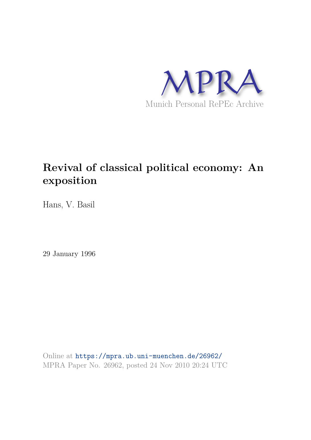

# **Revival of classical political economy: An exposition**

Hans, V. Basil

29 January 1996

Online at https://mpra.ub.uni-muenchen.de/26962/ MPRA Paper No. 26962, posted 24 Nov 2010 20:24 UTC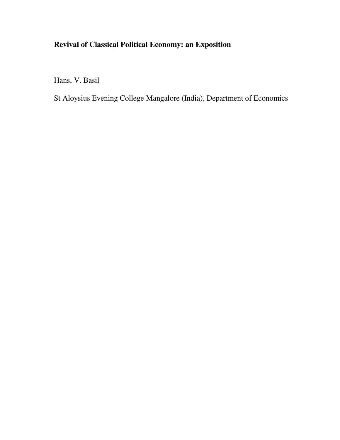# **Revival of Classical Political Economy: an Exposition**

Hans, V. Basil

St Aloysius Evening College Mangalore (India), Department of Economics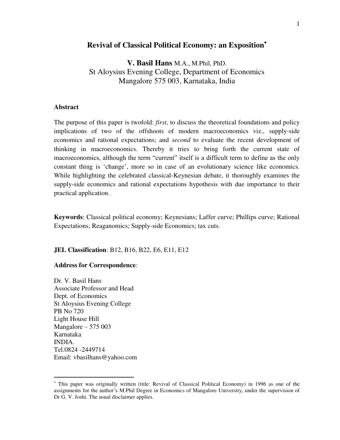# **Revival of Classical Political Economy: an Exposition**

**V. Basil Hans** M.A., M.Phil, PhD. St Aloysius Evening College, Department of Economics Mangalore 575 003, Karnataka, India

## **Abstract**

The purpose of this paper is twofold: *first*, to discuss the theoretical foundations and policy implications of two of the offshoots of modern macroeconomics viz., supply-side economics and rational expectations; and *second* to evaluate the recent development of thinking in macroeconomics. Thereby it tries to bring forth the current state of macroeconomics, although the term "current" itself is a difficult term to define as the only constant thing is "change", more so in case of an evolutionary science like economics. While highlighting the celebrated classical-Keynesian debate, it thoroughly examines the supply-side economics and rational expectations hypothesis with due importance to their practical application.

**Keywords**: Classical political economy; Keynesians; Laffer curve; Phillips curve; Rational Expectations; Reaganomics; Supply-side Economics; tax cuts.

**JEL Classification**: B12, B16, B22, E6, E11, E12

### **Address for Correspondence**:

Dr. V. Basil Hans Associate Professor and Head Dept. of Economics St Aloysius Evening College PB No 720 Light House Hill Mangalore –  $575\,003$ Karnataka INDIA. Tel.0824 -2449714 Email: [vbasilhans@yahoo.com](mailto:vbasilhans@yahoo.com) 

 This paper was originally written (title: Revival of Classical Political Economy) in 1996 as one of the assignments for the author"s M.Phil Degree in Economics of Mangalore University, under the supervision of Dr G. V. Joshi. The usual disclaimer applies.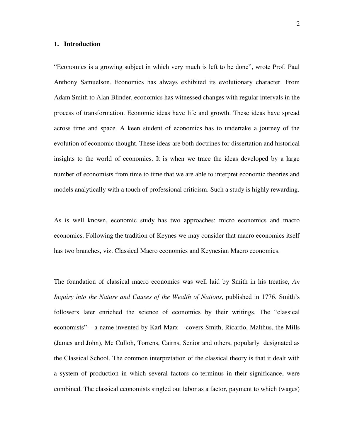#### **1. Introduction**

"Economics is a growing subject in which very much is left to be done", wrote Prof. Paul Anthony Samuelson. Economics has always exhibited its evolutionary character. From Adam Smith to Alan Blinder, economics has witnessed changes with regular intervals in the process of transformation. Economic ideas have life and growth. These ideas have spread across time and space. A keen student of economics has to undertake a journey of the evolution of economic thought. These ideas are both doctrines for dissertation and historical insights to the world of economics. It is when we trace the ideas developed by a large number of economists from time to time that we are able to interpret economic theories and models analytically with a touch of professional criticism. Such a study is highly rewarding.

As is well known, economic study has two approaches: micro economics and macro economics. Following the tradition of Keynes we may consider that macro economics itself has two branches, viz. Classical Macro economics and Keynesian Macro economics.

The foundation of classical macro economics was well laid by Smith in his treatise, *An Inquiry into the Nature and Causes of the Wealth of Nations*, published in 1776. Smith"s followers later enriched the science of economics by their writings. The "classical economists" – a name invented by Karl Marx – covers Smith, Ricardo, Malthus, the Mills (James and John), Mc Culloh, Torrens, Cairns, Senior and others, popularly designated as the Classical School. The common interpretation of the classical theory is that it dealt with a system of production in which several factors co-terminus in their significance, were combined. The classical economists singled out labor as a factor, payment to which (wages)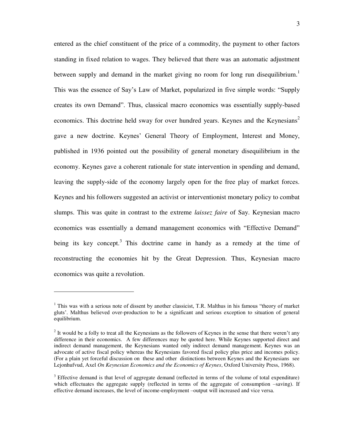entered as the chief constituent of the price of a commodity, the payment to other factors standing in fixed relation to wages. They believed that there was an automatic adjustment between supply and demand in the market giving no room for long run disequilibrium.<sup>1</sup> This was the essence of Say"s Law of Market, popularized in five simple words: "Supply creates its own Demand". Thus, classical macro economics was essentially supply-based economics. This doctrine held sway for over hundred years. Keynes and the Keynesians<sup>2</sup> gave a new doctrine. Keynes' General Theory of Employment, Interest and Money, published in 1936 pointed out the possibility of general monetary disequilibrium in the economy. Keynes gave a coherent rationale for state intervention in spending and demand, leaving the supply-side of the economy largely open for the free play of market forces. Keynes and his followers suggested an activist or interventionist monetary policy to combat slumps. This was quite in contrast to the extreme *laissez faire* of Say. Keynesian macro economics was essentially a demand management economics with "Effective Demand" being its key concept.<sup>3</sup> This doctrine came in handy as a remedy at the time of reconstructing the economies hit by the Great Depression. Thus, Keynesian macro economics was quite a revolution.

<sup>&</sup>lt;sup>1</sup> This was with a serious note of dissent by another classicist, T.R. Malthus in his famous "theory of market gluts". Malthus believed over-production to be a significant and serious exception to situation of general equilibrium.

 $2<sup>2</sup>$  It would be a folly to treat all the Keynesians as the followers of Keynes in the sense that there weren't any difference in their economics. A few differences may be quoted here. While Keynes supported direct and indirect demand management, the Keynesians wanted only indirect demand management. Keynes was an advocate of active fiscal policy whereas the Keynesians favored fiscal policy plus price and incomes policy. (For a plain yet forceful discussion on these and other distinctions between Keynes and the Keynesians see Lejonhufvud, Axel *On Keynesian Economics and the Economics of Keynes*, Oxford University Press, 1968).

 $3$  Effective demand is that level of aggregate demand (reflected in terms of the volume of total expenditure) which effectuates the aggregate supply (reflected in terms of the aggregate of consumption –saving). If effective demand increases, the level of income-employment –output will increased and vice versa.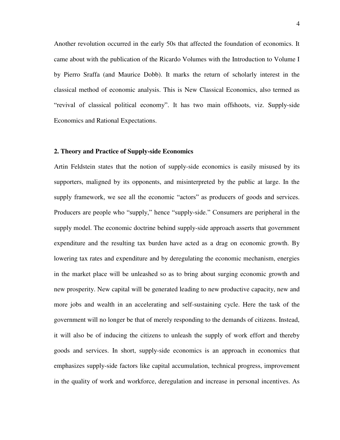Another revolution occurred in the early 50s that affected the foundation of economics. It came about with the publication of the Ricardo Volumes with the Introduction to Volume I by Pierro Sraffa (and Maurice Dobb). It marks the return of scholarly interest in the classical method of economic analysis. This is New Classical Economics, also termed as "revival of classical political economy". It has two main offshoots, viz. Supply-side Economics and Rational Expectations.

#### **2. Theory and Practice of Supply-side Economics**

Artin Feldstein states that the notion of supply-side economics is easily misused by its supporters, maligned by its opponents, and misinterpreted by the public at large. In the supply framework, we see all the economic "actors" as producers of goods and services. Producers are people who "supply," hence "supply-side." Consumers are peripheral in the supply model. The economic doctrine behind supply-side approach asserts that government expenditure and the resulting tax burden have acted as a drag on economic growth. By lowering tax rates and expenditure and by deregulating the economic mechanism, energies in the market place will be unleashed so as to bring about surging economic growth and new prosperity. New capital will be generated leading to new productive capacity, new and more jobs and wealth in an accelerating and self-sustaining cycle. Here the task of the government will no longer be that of merely responding to the demands of citizens. Instead, it will also be of inducing the citizens to unleash the supply of work effort and thereby goods and services. In short, supply-side economics is an approach in economics that emphasizes supply-side factors like capital accumulation, technical progress, improvement in the quality of work and workforce, deregulation and increase in personal incentives. As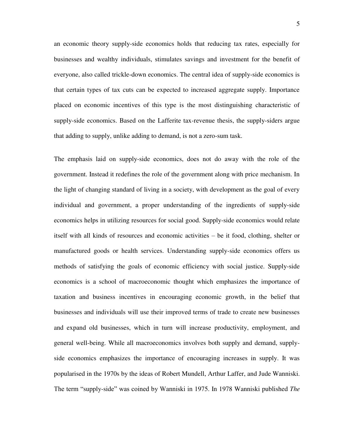an economic theory supply-side economics holds that reducing tax rates, especially for businesses and wealthy individuals, stimulates savings and [investment](http://www.investorwords.com/2599/investment.html) for the benefit of everyone, also called trickle-down economics. The central idea of supply-side economics is that certain types of tax cuts can be expected to increased aggregate supply. Importance placed on economic incentives of this type is the most distinguishing characteristic of supply-side economics. Based on the Lafferite tax-revenue thesis, the supply-siders argue that adding to supply, unlike adding to demand, is not a zero-sum task.

The emphasis laid on supply-side economics, does not do away with the role of the government. Instead it redefines the role of the government along with price mechanism. In the light of changing standard of living in a society, with development as the goal of every individual and government, a proper understanding of the ingredients of supply-side economics helps in utilizing resources for social good. Supply-side economics would relate itself with all kinds of resources and economic activities – be it food, clothing, shelter or manufactured goods or health services. Understanding supply-side economics offers us methods of satisfying the goals of economic efficiency with social justice. Supply-side economics is a school of [macroeconomic](http://en.wikipedia.org/wiki/Macroeconomic) thought which emphasizes the importance of [taxation](http://en.wikipedia.org/wiki/Tax_cuts) and business [incentives](http://en.wikipedia.org/wiki/Incentive) in encouraging economic growth, in the belief that businesses and individuals will use their improved terms of trade to create new businesses and expand old businesses, which in turn will increase [productivity,](http://en.wikipedia.org/wiki/Productivity) employment, and general well-being. While all macroeconomics involves both supply and demand, supplyside economics emphasizes the importance of encouraging increases in supply. It was popularised in the [1970s](http://en.wikipedia.org/wiki/1970s) by the ideas of [Robert Mundell,](http://en.wikipedia.org/wiki/Robert_Mundell) [Arthur Laffer,](http://en.wikipedia.org/wiki/Art_Laffer) and [Jude Wanniski.](http://en.wikipedia.org/wiki/Jude_Wanniski) The term "supply-side" was coined by Wanniski in [1975.](http://en.wikipedia.org/wiki/1975) In [1978](http://en.wikipedia.org/wiki/1978) Wanniski published *The*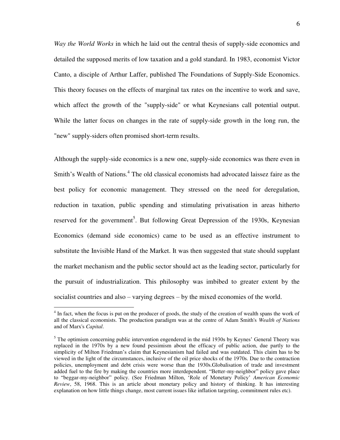*Way the World Works* in which he laid out the central thesis of supply-side economics and detailed the supposed merits of low taxation and a gold standard. In [1983,](http://en.wikipedia.org/wiki/1983) economist Victor Canto, a disciple of [Arthur Laffer,](http://en.wikipedia.org/wiki/Arthur_Laffer) published The Foundations of Supply-Side Economics. This theory focuses on the effects of [marginal tax rates](http://en.wikipedia.org/wiki/Marginal_tax_rate) on the incentive to work and [save,](http://en.wikipedia.org/wiki/Saving) which affect the [growth](http://en.wikipedia.org/wiki/Economic_growth) of the "supply-side" or what [Keynesians](http://en.wikipedia.org/wiki/Keynesian) call [potential output.](http://en.wikipedia.org/wiki/Potential_output) While the latter focus on changes in the rate of supply-side growth in the long run, the "new" supply-siders often promised short-term results.

Although the supply-side economics is a new one, supply-side economics was there even in Smith's Wealth of Nations.<sup>4</sup> The old classical economists had advocated laissez faire as the best policy for economic management. They stressed on the need for deregulation, reduction in taxation, public spending and stimulating privatisation in areas hitherto reserved for the government<sup>5</sup>. But following Great Depression of the 1930s, Keynesian Economics (demand side economics) came to be used as an effective instrument to substitute the Invisible Hand of the Market. It was then suggested that state should supplant the market mechanism and the public sector should act as the leading sector, particularly for the pursuit of industrialization. This philosophy was imbibed to greater extent by the socialist countries and also – varying degrees – by the mixed economies of the world.

<sup>&</sup>lt;sup>4</sup> In fact, when the focus is put on the producer of goods, the study of the creation of wealth spans the work of all the classical economists. The production paradigm was at the centre of Adam Smith's *Wealth of Nations* and of Marx's *Capital*.

<sup>&</sup>lt;sup>5</sup> The optimism concerning public intervention engendered in the mid 1930s by Keynes' General Theory was replaced in the 1970s by a new found pessimism about the efficacy of public action, due partly to the simplicity of Milton Friedman"s claim that Keynesianism had failed and was outdated. This claim has to be viewed in the light of the circumstances, inclusive of the oil price shocks of the 1970s. Due to the contraction policies, unemployment and debt crisis were worse than the 1930s.Globalisation of trade and investment added fuel to the fire by making the countries more interdependent. "Better-my-neighbor" policy gave place to "beggar-my-neighbor" policy. (See Friedman Milton, "Role of Monetary Policy" *American Economic Review*, 58, 1968. This is an article about monetary policy and history of thinking. It has interesting explanation on how little things change, most current issues like inflation targeting, commitment rules etc).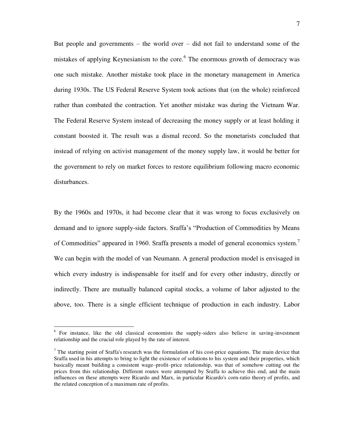But people and governments – the world over – did not fail to understand some of the mistakes of applying Keynesianism to the core.<sup>6</sup> The enormous growth of democracy was one such mistake. Another mistake took place in the monetary management in America during 1930s. The US Federal Reserve System took actions that (on the whole) reinforced rather than combated the contraction. Yet another mistake was during the Vietnam War. The Federal Reserve System instead of decreasing the money supply or at least holding it constant boosted it. The result was a dismal record. So the monetarists concluded that instead of relying on activist management of the money supply law, it would be better for the government to rely on market forces to restore equilibrium following macro economic disturbances.

By the 1960s and 1970s, it had become clear that it was wrong to focus exclusively on demand and to ignore supply-side factors. Sraffa"s "Production of Commodities by Means of Commodities" appeared in 1960. Sraffa presents a model of general economics system.<sup>7</sup> We can begin with the model of van Neumann. A general production model is envisaged in which every industry is indispensable for itself and for every other industry, directly or indirectly. There are mutually balanced capital stocks, a volume of labor adjusted to the above, too. There is a single efficient technique of production in each industry. Labor

<sup>&</sup>lt;sup>6</sup> For instance, like the old classical economists the supply-siders also believe in saving-investment relationship and the crucial role played by the rate of interest.

 $7$  The starting point of Sraffa's research was the formulation of his cost-price equations. The main device that Sraffa used in his attempts to bring to light the existence of solutions to his system and their properties, which basically meant building a consistent wage–profit–price relationship, was that of somehow cutting out the prices from this relationship. Different routes were attempted by Sraffa to achieve this end, and the main influences on these attempts were Ricardo and Marx, in particular Ricardo's corn-ratio theory of profits, and the related conception of a maximum rate of profits.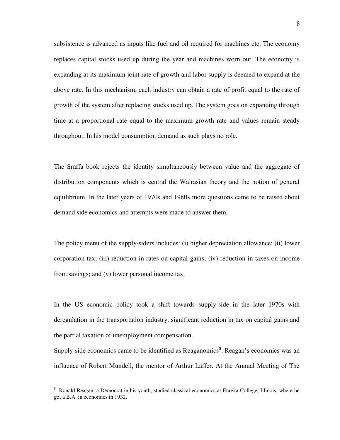subsistence is advanced as inputs like fuel and oil required for machines etc. The economy replaces capital stocks used up during the year and machines worn out. The economy is expanding at its maximum joint rate of growth and labor supply is deemed to expand at the above rate. In this mechanism, each industry can obtain a rate of profit equal to the rate of growth of the system after replacing stocks used up. The system goes on expanding through time at a proportional rate equal to the maximum growth rate and values remain steady throughout. In his model consumption demand as such plays no role.

The Sraffa book rejects the identity simultaneously between value and the aggregate of distribution components which is central the Walrasian theory and the notion of general equilibrium. In the later years of 1970s and 1980s more questions came to be raised about demand side economics and attempts were made to answer them.

The policy menu of the supply-siders includes: (i) higher depreciation allowance; (ii) lower corporation tax; (iii) reduction in rates on capital gains; (iv) reduction in taxes on income from savings; and (v) lower personal income tax.

In the US economic policy took a shift towards supply-side in the later 1970s with deregulation in the transportation industry, significant reduction in tax on capital gains and the partial taxation of unemployment compensation.

Supply-side economics came to be identified as Reaganomics<sup>8</sup>. Reagan's economics was an influence of Robert Mundell, the mentor of Arthur Laffer. At the Annual Meeting of The

<sup>8</sup> Ronald Reagan, a Democrat in his youth, studied classical economics at Eureka College, Illinois, where he got a B.A. in economics in 1932.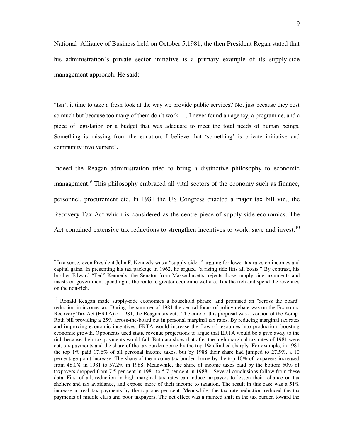National Alliance of Business held on October 5,1981, the then President Regan stated that his administration"s private sector initiative is a primary example of its supply-side management approach. He said:

"Isn"t it time to take a fresh look at the way we provide public services? Not just because they cost so much but because too many of them don"t work …. I never found an agency, a programme, and a piece of legislation or a budget that was adequate to meet the total needs of human beings. Something is missing from the equation. I believe that "something" is private initiative and community involvement".

Indeed the Reagan administration tried to bring a distinctive philosophy to economic management.<sup>9</sup> This philosophy embraced all vital sectors of the economy such as finance, personnel, procurement etc. In 1981 the US Congress enacted a major tax bill viz., the Recovery Tax Act which is considered as the centre piece of supply-side economics. The Act contained extensive tax reductions to strengthen incentives to work, save and invest.<sup>10</sup>

<sup>&</sup>lt;sup>9</sup> In a sense, even President John F. Kennedy was a "supply-sider," arguing for lower tax rates on incomes and capital gains. In presenting his tax package in 1962, he argued "a rising tide lifts all boats." By contrast, his brother Edward "Ted" Kennedy, the Senator from Massachusetts, rejects those supply-side arguments and insists on government spending as the route to greater economic welfare. Tax the rich and spend the revenues on the non-rich.

<sup>&</sup>lt;sup>10</sup> [Ronald Reagan](http://en.wikipedia.org/wiki/Ronald_Reagan) made supply-side economics a household phrase, and promised an "across the board" reduction in income tax. During the summer of 1981 the central focus of policy debate was on the Economic Recovery Tax Act (ERTA) of 1981, the Reagan tax cuts. The core of this proposal was a version of the Kemp-Roth bill providing a 25% across-the-board cut in personal marginal tax rates. By reducing marginal tax rates and improving economic incentives, ERTA would increase the flow of resources into production, boosting economic growth. Opponents used static revenue projections to argue that ERTA would be a give away to the rich because their tax payments would fall. But data show that after the high marginal tax rates of 1981 were cut, tax payments and the share of the tax burden borne by the top 1% climbed sharply. For example, in 1981 the top 1% paid 17.6% of all personal income taxes, but by 1988 their share had jumped to 27.5%, a 10 percentage point increase. The share of the income tax burden borne by the top 10% of taxpayers increased from 48.0% in 1981 to 57.2% in 1988. Meanwhile, the share of income taxes paid by the bottom 50% of taxpayers dropped from 7.5 per cent in 1981 to 5.7 per cent in 1988. Several conclusions follow from these data. First of all, reduction in high marginal tax rates can induce taxpayers to lessen their reliance on tax shelters and tax avoidance, and expose more of their income to taxation. The result in this case was a 51% increase in real tax payments by the top one per cent. Meanwhile, the tax rate reduction reduced the tax payments of middle class and poor taxpayers. The net effect was a marked shift in the tax burden toward the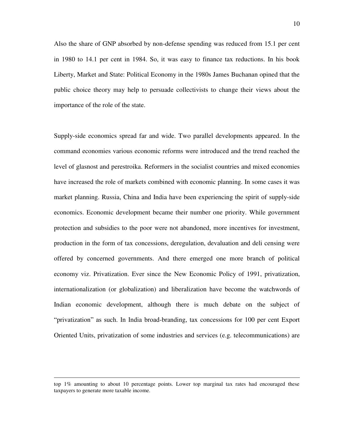Also the share of GNP absorbed by non-defense spending was reduced from 15.1 per cent in 1980 to 14.1 per cent in 1984. So, it was easy to finance tax reductions. In his book Liberty, Market and State: Political Economy in the 1980s James Buchanan opined that the public choice theory may help to persuade collectivists to change their views about the importance of the role of the state.

Supply-side economics spread far and wide. Two parallel developments appeared. In the command economies various economic reforms were introduced and the trend reached the level of glasnost and perestroika. Reformers in the socialist countries and mixed economies have increased the role of markets combined with economic planning. In some cases it was market planning. Russia, China and India have been experiencing the spirit of supply-side economics. Economic development became their number one priority. While government protection and subsidies to the poor were not abandoned, more incentives for investment, production in the form of tax concessions, deregulation, devaluation and deli censing were offered by concerned governments. And there emerged one more branch of political economy viz. Privatization. Ever since the New Economic Policy of 1991, privatization, internationalization (or globalization) and liberalization have become the watchwords of Indian economic development, although there is much debate on the subject of "privatization" as such. In India broad-branding, tax concessions for 100 per cent Export Oriented Units, privatization of some industries and services (e.g. telecommunications) are

top 1% amounting to about 10 percentage points. Lower top marginal tax rates had encouraged these taxpayers to generate more taxable income.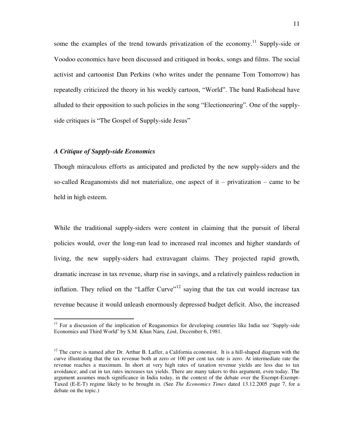some the examples of the trend towards privatization of the economy.<sup>11</sup> Supply-side or Voodoo economics have been discussed and critiqued in books, songs and films. The social activist and cartoonist [Dan Perkins](http://en.wikipedia.org/wiki/Dan_Perkins) (who writes under the penname [Tom Tomorrow\)](http://en.wikipedia.org/wiki/Tom_Tomorrow) has repeatedly criticized the theory in his weekly cartoon, "World". The band [Radiohead](http://en.wikipedia.org/wiki/Radiohead) have alluded to their opposition to such policies in the song "Electioneering". One of the supplyside critiques is "[The Gospel of Supply-side Jesus](http://www.buzzflash.com/contributors/03/09/17_franken.html)"

#### *A Critique of Supply-side Economics*

 $\overline{a}$ 

Though miraculous efforts as anticipated and predicted by the new supply-siders and the so-called Reaganomists did not materialize, one aspect of  $it$  – privatization – came to be held in high esteem.

While the traditional supply-siders were content in claiming that the pursuit of liberal policies would, over the long-run lead to increased real incomes and higher standards of living, the new supply-siders had extravagant claims. They projected rapid growth, dramatic increase in tax revenue, sharp rise in savings, and a relatively painless reduction in inflation. They relied on the "Laffer Curve"<sup>12</sup> saying that the tax cut would increase tax revenue because it would unleash enormously depressed budget deficit. Also, the increased

<sup>&</sup>lt;sup>11</sup> For a discussion of the implication of Reaganomics for developing countries like India see 'Supply-side Economics and Third World" by S.M. Khan Naru, *Link*, December 6, 1981.

<sup>&</sup>lt;sup>12</sup> The curve is named after Dr. Arthur B. Laffer, a California economist. It is a hill-shaped diagram with the curve illustrating that the tax revenue both at zero or 100 per cent tax rate is zero. At intermediate rate the revenue reaches a maximum. In short at very high rates of taxation revenue yields are less due to tax avoidance; and cut in tax rates increases tax yields. There are many takers to this argument, even today. The argument assumes much significance in India today, in the context of the debate over the Exempt-Exempt-Taxed (E-E-T) regime likely to be brought in. (See *The Economics Times* dated 13.12.2005 page 7, for a debate on the topic.)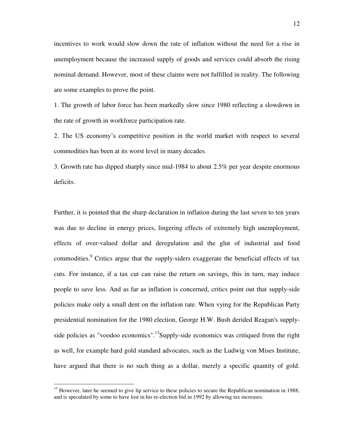incentives to work would slow down the rate of inflation without the need for a rise in unemployment because the increased supply of goods and services could absorb the rising nominal demand. However, most of these claims were not fulfilled in reality. The following are some examples to prove the point.

1. The growth of labor force has been markedly slow since 1980 reflecting a slowdown in the rate of growth in workforce participation rate.

2. The US economy"s competitive position in the world market with respect to several commodities has been at its worst level in many decades.

3. Growth rate has dipped sharply since mid-1984 to about 2.5% per year despite enormous deficits.

Further, it is pointed that the sharp declaration in inflation during the last seven to ten years was due to decline in energy prices, lingering effects of extremely high unemployment, effects of over-valued dollar and deregulation and the glut of industrial and food commodities.<sup>9</sup> Critics argue that the supply-siders exaggerate the beneficial effects of tax cuts. For instance, if a tax cut can raise the return on savings, this in turn, may induce people to save less. And as far as inflation is concerned, critics point out that supply-side policies make only a small dent on the inflation rate. When vying for the [Republican Party](http://en.wikipedia.org/wiki/United_States_Republican_Party)  presidential nomination for the [1980 election,](http://en.wikipedia.org/wiki/U.S._presidential_election,_1980) [George H.W. Bush](http://en.wikipedia.org/wiki/George_H.W._Bush) derided Reagan's supplyside policies as "voodoo economics".<sup>13</sup>Supply-side economics was critiqued from the right as well, for example hard gold standard advocates, such as the [Ludwig von Mises Institute,](http://en.wikipedia.org/wiki/Ludwig_von_Mises_Institute) have argued that there is no such thing as a dollar, merely a specific quantity of gold.

<sup>&</sup>lt;sup>13</sup> However, later he seemed to give lip service to these policies to secure the Republican nomination in 1988, and is speculated by some to have lost in his re-election bid in [1992](http://en.wikipedia.org/wiki/1992) by allowing tax increases.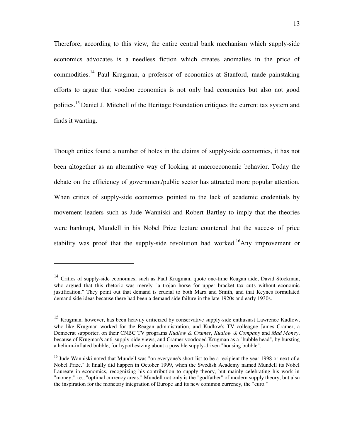Therefore, according to this view, the entire central bank mechanism which supply-side economics advocates is a needless fiction which creates anomalies in the pric*e* of commodities.<sup>14</sup> Paul Krugman, a professor of economics at Stanford, made painstaking efforts to argue that voodoo economics is not only bad economics but also not good politics.<sup>15</sup> [Daniel J. Mitchell](http://www.heritage.org/heritage/issues96/chpt2.html) of the Heritage Foundation critiques the current tax system and finds it wanting.

Though critics found a number of holes in the claims of supply-side economics, it has not been altogether as an alternative way of looking at macroeconomic behavior. Today the debate on the efficiency of government/public sector has attracted more popular attention. When critics of supply-side economics pointed to the lack of academic credentials by movement leaders such as Jude Wanniski and [Robert Bartley](http://en.wikipedia.org/w/index.php?title=Robert_Bartley&action=edit) to imply that the theories were bankrupt, Mundell in his [Nobel Prize](http://en.wikipedia.org/wiki/Nobel_Prize) lecture countered that the success of price stability was proof that the supply-side revolution had worked.<sup>16</sup>Any improvement or

<sup>&</sup>lt;sup>14</sup> Critics of supply-side economics, such as [Paul Krugman,](http://en.wikipedia.org/wiki/Paul_Krugman) quote one-time [Reagan](http://en.wikipedia.org/wiki/Ronald_Reagan) aide, [David Stockman,](http://en.wikipedia.org/wiki/David_Stockman) who argued that this rhetoric was merely "a trojan horse for upper bracket tax cuts without economic justification." They point out that demand is crucial to both Marx and Smith, and that Keynes formulated demand side ideas because there had been a demand side failure in the late 1920s and early 1930s.

<sup>&</sup>lt;sup>15</sup> Krugman, however, has been heavily criticized by conservative supply-side enthusiast [Lawrence Kudlow,](http://en.wikipedia.org/wiki/Lawrence_Kudlow) who like Krugman worked for the Reagan administration, and Kudlow's TV colleague [James Cramer,](http://en.wikipedia.org/wiki/James_Cramer) a Democrat supporter, on their [CNBC](http://en.wikipedia.org/wiki/CNBC) TV programs *[Kudlow & Cramer](http://en.wikipedia.org/wiki/Kudlow_&_Cramer)*, *[Kudlow & Company](http://en.wikipedia.org/wiki/Kudlow_&_Company)* and *[Mad Money](http://en.wikipedia.org/wiki/Mad_Money)*, because of Krugman's anti-supply-side views, and Cramer [voodooed](http://en.wikipedia.org/wiki/Voodoo) Krugman as a ["bubble head"](http://en.wikipedia.org/wiki/Bobblehead_doll), by bursting a helium-inflated bubble, for hypothesizing about a possible supply-driven "housin[g bubble"](http://en.wikipedia.org/wiki/Bubble_(economics)).

<sup>&</sup>lt;sup>16</sup> Jude Wanniski noted that Mundell was "on everyone's short list to be a recipient the year 1998 or next of a Nobel Prize." It finally did happen in October 1999, when the Swedish Academy named Mundell its Nobel Laureate in economics, recognizing his contribution to supply theory, but mainly celebrating his work in "money," i.e., "optimal currency areas." Mundell not only is the "godfather" of modern supply theory, but also the inspiration for the monetary integration of Europe and its new common currency, the "euro."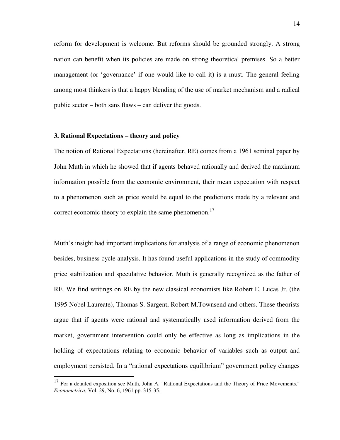reform for development is welcome. But reforms should be grounded strongly. A strong nation can benefit when its policies are made on strong theoretical premises. So a better management (or 'governance' if one would like to call it) is a must. The general feeling among most thinkers is that a happy blending of the use of market mechanism and a radical public sector – both sans flaws – can deliver the goods.

#### **3. Rational Expectations – theory and policy**

 $\overline{a}$ 

The notion of Rational Expectations (hereinafter, RE) comes from a 1961 seminal paper by John Muth in which he showed that if agents behaved rationally and derived the maximum information possible from the economic environment, their mean expectation with respect to a phenomenon such as price would be equal to the predictions made by a relevant and correct economic theory to explain the same phenomenon.<sup>17</sup>

Muth"s insight had important implications for analysis of a range of economic phenomenon besides, business cycle analysis. It has found useful applications in the study of commodity price stabilization and speculative behavior. Muth is generally recognized as the father of RE. We find writings on RE by the new classical economists like Robert E. Lucas Jr. (the 1995 Nobel Laureate), Thomas S. Sargent, Robert M.Townsend and others. These theorists argue that if agents were rational and systematically used information derived from the market, government intervention could only be effective as long as implications in the holding of expectations relating to economic behavior of variables such as output and employment persisted. In a "rational expectations equilibrium" government policy changes

 $17$  For a detailed exposition see Muth, John A. "Rational Expectations and the Theory of Price Movements." *Econometrica*, Vol. 29, No. 6, 1961 pp. 315-35.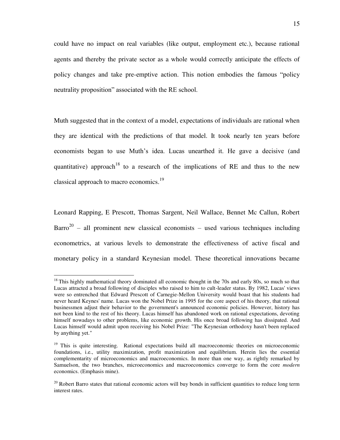could have no impact on real variables (like output, employment etc.), because rational agents and thereby the private sector as a whole would correctly anticipate the effects of policy changes and take pre-emptive action. This notion embodies the famous "policy neutrality proposition" associated with the RE school.

Muth suggested that in the context of a model, expectations of individuals are rational when they are identical with the predictions of that model. It took nearly ten years before economists began to use Muth"s idea. Lucas unearthed it. He gave a decisive (and quantitative) approach<sup>18</sup> to a research of the implications of RE and thus to the new classical approach to macro economics.<sup>19</sup>

Leonard Rapping, E Prescott, Thomas Sargent, Neil Wallace, Bennet Mc Callun, Robert Barro<sup>20</sup> – all prominent new classical economists – used various techniques including econometrics, at various levels to demonstrate the effectiveness of active fiscal and monetary policy in a standard Keynesian model. These theoretical innovations became

 $18$  This highly mathematical theory dominated all economic thought in the 70s and early 80s, so much so that Lucas attracted a broad following of disciples who raised to him to cult-leader status. By 1982, Lucas' views were so entrenched that Edward Prescott of Carnegie-Mellon University would boast that his students had never heard Keynes' name. Lucas won the Nobel Prize in 1995 for the core aspect of his theory, that rational businessmen adjust their behavior to the government's announced economic policies. However, history has not been kind to the rest of his theory. Lucas himself has abandoned work on rational expectations, devoting himself nowadays to other problems, like economic growth. His once broad following has dissipated. And Lucas himself would admit upon receiving his Nobel Prize: "The Keynesian orthodoxy hasn't been replaced by anything yet."

<sup>&</sup>lt;sup>19</sup> This is quite interesting. Rational expectations build all macroeconomic theories on microeconomic foundations, i.e., utility maximization, profit maximization and equilibrium. Herein lies the essential complementarity of microeconomics and macroeconomics. In more than one way, as rightly remarked by Samuelson, the two branches, microeconomics and macroeconomics converge to form the core *modern*  economics. (Emphasis mine).

<sup>&</sup>lt;sup>20</sup> [Robert Barro](http://en.wikipedia.org/wiki/Robert_Barro) states that rational economic actors will buy bonds in sufficient quantities to reduce long term interest rates.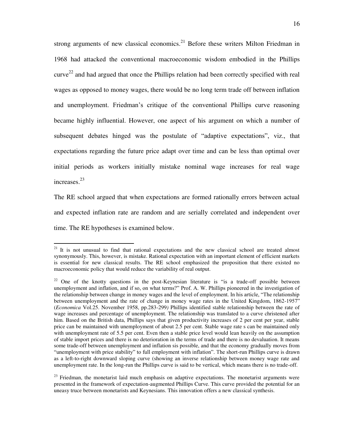strong arguments of new classical economics.<sup>21</sup> Before these writers Milton Friedman in 1968 had attacked the conventional macroeconomic wisdom embodied in the Phillips  $curve<sup>22</sup>$  and had argued that once the Phillips relation had been correctly specified with real wages as opposed to money wages, there would be no long term trade off between inflation and unemployment. Friedman's critique of the conventional Phillips curve reasoning became highly influential. However, one aspect of his argument on which a number of subsequent debates hinged was the postulate of "adaptive expectations", viz., that expectations regarding the future price adapt over time and can be less than optimal over initial periods as workers initially mistake nominal wage increases for real wage increases.<sup>23</sup>

The RE school argued that when expectations are formed rationally errors between actual and expected inflation rate are random and are serially correlated and independent over time. The RE hypotheses is examined below.

 $\overline{a}$ 

 $23$  Friedman, the monetarist laid much emphasis on adaptive expectations. The monetarist arguments were presented in the framework of expectation-augmented Phillips Curve. This curve provided the potential for an uneasy truce between monetarists and Keynesians. This innovation offers a new classical synthesis.

<sup>&</sup>lt;sup>21</sup> It is not unusual to find that rational expectations and the new classical school are treated almost synonymously. This, however, is mistake. Rational expectation with an important element of efficient markets is essential for new classical results. The RE school emphasized the proposition that there existed no macroeconomic policy that would reduce the variability of real output.

<sup>&</sup>lt;sup>22</sup> One of the knotty questions in the post-Keynesian literature is "is a trade-off possible between unemployment and inflation, and if so, on what terms?" Prof. A. W. Phillips pioneered in the investigation of the relationship between change in money wages and the level of employment. In his article, "The relationship between unemployment and the rate of change in money wage rates in the United Kingdom, 1862-1957" (*Economica* Vol.25. November 1958, pp.283-299*)* Phillips identified stable relationship between the rate of wage increases and percentage of unemployment. The relationship was translated to a curve christened after him. Based on the British data, Phillips says that given productivity increases of 2 per cent per year, stable price can be maintained with unemployment of about 2.5 per cent. Stable wage rate s can be maintained only with unemployment rate of 5.5 per cent. Even then a stable price level would lean heavily on the assumption of stable import prices and there is no deterioration in the terms of trade and there is no devaluation. It means some trade-off between unemployment and inflation sis possible, and that the economy gradually moves from "unemployment with price stability" to full employment with inflation". The short-run Phillips curve is drawn as a left-to-right downward sloping curve (showing an inverse relationship between money wage rate and unemployment rate. In the long-run the Phillips curve is said to be vertical, which means there is no trade-off.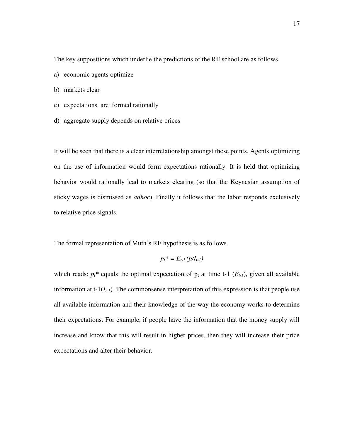The key suppositions which underlie the predictions of the RE school are as follows.

- a) economic agents optimize
- b) markets clear
- c) expectations are formed rationally
- d) aggregate supply depends on relative prices

It will be seen that there is a clear interrelationship amongst these points. Agents optimizing on the use of information would form expectations rationally. It is held that optimizing behavior would rationally lead to markets clearing (so that the Keynesian assumption of sticky wages is dismissed as *adhoc*). Finally it follows that the labor responds exclusively to relative price signals.

The formal representation of Muth's RE hypothesis is as follows.

$$
p_t^* = E_{t-1}(p/I_{t-1})
$$

which reads:  $p_t^*$  equals the optimal expectation of  $p_t$  at time t-1 ( $E_{t-1}$ ), given all available information at  $t-1(I_{t-1})$ . The commonsense interpretation of this expression is that people use all available information and their knowledge of the way the economy works to determine their expectations. For example, if people have the information that the money supply will increase and know that this will result in higher prices, then they will increase their price expectations and alter their behavior.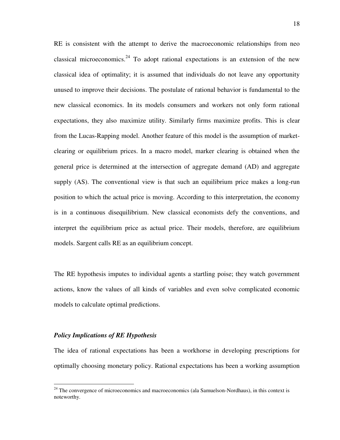RE is consistent with the attempt to derive the macroeconomic relationships from neo classical microeconomics.<sup>24</sup> To adopt rational expectations is an extension of the new classical idea of optimality; it is assumed that individuals do not leave any opportunity unused to improve their decisions. The postulate of rational behavior is fundamental to the new classical economics. In its models consumers and workers not only form rational expectations, they also maximize utility. Similarly firms maximize profits. This is clear from the Lucas-Rapping model. Another feature of this model is the assumption of marketclearing or equilibrium prices. In a macro model, marker clearing is obtained when the general price is determined at the intersection of aggregate demand (AD) and aggregate supply (AS). The conventional view is that such an equilibrium price makes a long-run position to which the actual price is moving. According to this interpretation, the economy is in a continuous disequilibrium. New classical economists defy the conventions, and interpret the equilibrium price as actual price. Their models, therefore, are equilibrium models. Sargent calls RE as an equilibrium concept.

The RE hypothesis imputes to individual agents a startling poise; they watch government actions, know the values of all kinds of variables and even solve complicated economic models to calculate optimal predictions.

#### *Policy Implications of RE Hypothesis*

 $\overline{a}$ 

The idea of rational expectations has been a workhorse in developing prescriptions for optimally choosing monetary policy. Rational expectations has been a working assumption

<sup>&</sup>lt;sup>24</sup> The convergence of microeconomics and macroeconomics (ala Samuelson-Nordhaus), in this context is noteworthy.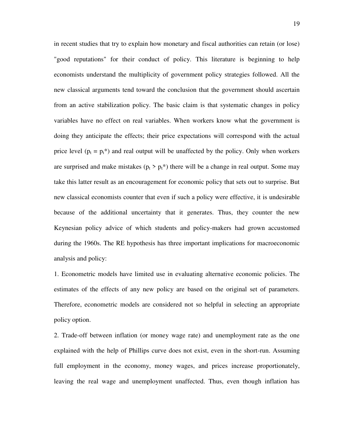in recent studies that try to explain how monetary and fiscal authorities can retain (or lose) "good reputations" for their conduct of policy. This literature is beginning to help economists understand the multiplicity of government policy strategies followed. All the new classical arguments tend toward the conclusion that the government should ascertain from an active stabilization policy. The basic claim is that systematic changes in policy variables have no effect on real variables. When workers know what the government is doing they anticipate the effects; their price expectations will correspond with the actual price level  $(p_t = p_t^*)$  and real output will be unaffected by the policy. Only when workers are surprised and make mistakes ( $p_t > p_t^*$ ) there will be a change in real output. Some may take this latter result as an encouragement for economic policy that sets out to surprise. But new classical economists counter that even if such a policy were effective, it is undesirable because of the additional uncertainty that it generates. Thus, they counter the new Keynesian policy advice of which students and policy-makers had grown accustomed during the 1960s. The RE hypothesis has three important implications for macroeconomic analysis and policy:

1. Econometric models have limited use in evaluating alternative economic policies. The estimates of the effects of any new policy are based on the original set of parameters. Therefore, econometric models are considered not so helpful in selecting an appropriate policy option.

2. Trade-off between inflation (or money wage rate) and unemployment rate as the one explained with the help of Phillips curve does not exist, even in the short-run. Assuming full employment in the economy, money wages, and prices increase proportionately, leaving the real wage and unemployment unaffected. Thus, even though inflation has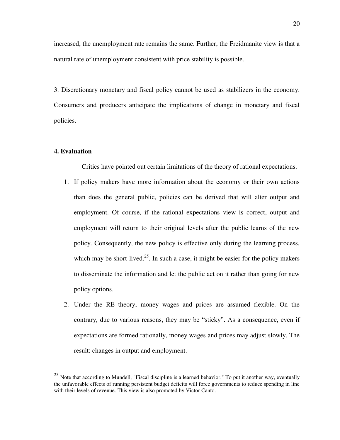increased, the unemployment rate remains the same. Further, the Freidmanite view is that a natural rate of unemployment consistent with price stability is possible.

3. Discretionary monetary and fiscal policy cannot be used as stabilizers in the economy. Consumers and producers anticipate the implications of change in monetary and fiscal policies.

### **4. Evaluation**

 $\overline{a}$ 

Critics have pointed out certain limitations of the theory of rational expectations.

- 1. If policy makers have more information about the economy or their own actions than does the general public, policies can be derived that will alter output and employment. Of course, if the rational expectations view is correct, output and employment will return to their original levels after the public learns of the new policy. Consequently, the new policy is effective only during the learning process, which may be short-lived.<sup>25</sup>. In such a case, it might be easier for the policy makers to disseminate the information and let the public act on it rather than going for new policy options.
- 2. Under the RE theory, money wages and prices are assumed flexible. On the contrary, due to various reasons, they may be "sticky". As a consequence, even if expectations are formed rationally, money wages and prices may adjust slowly. The result: changes in output and employment.

 $25$  Note that according to Mundell, "Fiscal discipline is a learned behavior." To put it another way, eventually the unfavorable effects of running persistent budget deficits will force governments to reduce spending in line with their levels of revenue. This view is also promoted by Victor Canto.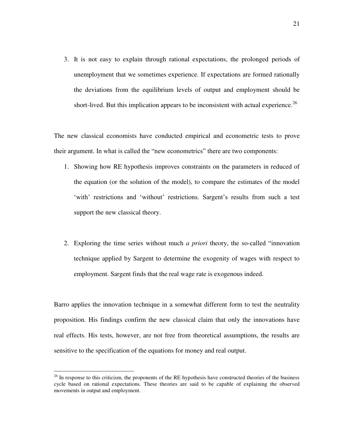3. It is not easy to explain through rational expectations, the prolonged periods of unemployment that we sometimes experience. If expectations are formed rationally the deviations from the equilibrium levels of output and employment should be short-lived. But this implication appears to be inconsistent with actual experience.<sup>26</sup>

The new classical economists have conducted empirical and econometric tests to prove their argument. In what is called the "new econometrics" there are two components:

- 1. Showing how RE hypothesis improves constraints on the parameters in reduced of the equation (or the solution of the model), to compare the estimates of the model "with" restrictions and "without" restrictions. Sargent's results from such a test support the new classical theory.
- 2. Exploring the time series without much *a priori* theory, the so-called "innovation technique applied by Sargent to determine the exogenity of wages with respect to employment. Sargent finds that the real wage rate is exogenous indeed.

Barro applies the innovation technique in a somewhat different form to test the neutrality proposition. His findings confirm the new classical claim that only the innovations have real effects. His tests, however, are not free from theoretical assumptions, the results are sensitive to the specification of the equations for money and real output.

 $26$  In response to this criticism, the proponents of the RE hypothesis have constructed theories of the business cycle based on rational expectations. These theories are said to be capable of explaining the observed movements in output and employment.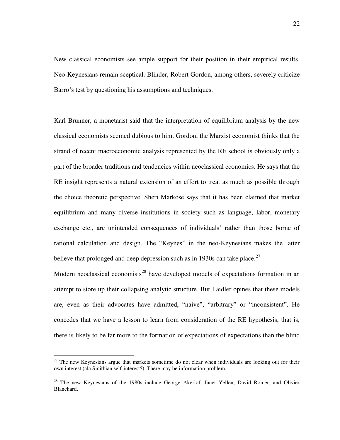New classical economists see ample support for their position in their empirical results. Neo-Keynesians remain sceptical. Blinder, Robert Gordon, among others, severely criticize Barro's test by questioning his assumptions and techniques.

Karl Brunner, a monetarist said that the interpretation of equilibrium analysis by the new classical economists seemed dubious to him. Gordon, the Marxist economist thinks that the strand of recent macroeconomic analysis represented by the RE school is obviously only a part of the broader traditions and tendencies within neoclassical economics. He says that the RE insight represents a natural extension of an effort to treat as much as possible through the choice theoretic perspective. Sheri Markose says that it has been claimed that market equilibrium and many diverse institutions in society such as language, labor, monetary exchange etc., are unintended consequences of individuals' rather than those borne of rational calculation and design. The "Keynes" in the neo-Keynesians makes the latter believe that prolonged and deep depression such as in 1930s can take place.<sup>27</sup>

Modern neoclassical economists<sup>28</sup> have developed models of expectations formation in an attempt to store up their collapsing analytic structure. But Laidler opines that these models are, even as their advocates have admitted, "naive", "arbitrary" or "inconsistent". He concedes that we have a lesson to learn from consideration of the RE hypothesis, that is, there is likely to be far more to the formation of expectations of expectations than the blind

 $27$  The new Keynesians argue that markets sometime do not clear when individuals are looking out for their own interest (ala Smithian self-interest?). There may be information problem.

<sup>&</sup>lt;sup>28</sup> The new Keynesians of the 1980s include George Akerlof, Janet Yellen, David Romer, and Olivier Blanchard.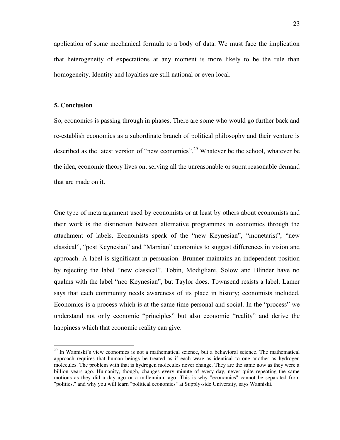application of some mechanical formula to a body of data. We must face the implication that heterogeneity of expectations at any moment is more likely to be the rule than homogeneity. Identity and loyalties are still national or even local.

### **5. Conclusion**

 $\overline{a}$ 

So, economics is passing through in phases. There are some who would go further back and re-establish economics as a subordinate branch of political philosophy and their venture is described as the latest version of "new economics".<sup>29</sup> Whatever be the school, whatever be the idea, economic theory lives on, serving all the unreasonable or supra reasonable demand that are made on it.

One type of meta argument used by economists or at least by others about economists and their work is the distinction between alternative programmes in economics through the attachment of labels. Economists speak of the "new Keynesian", "monetarist", "new classical", "post Keynesian" and "Marxian" economics to suggest differences in vision and approach. A label is significant in persuasion. Brunner maintains an independent position by rejecting the label "new classical". Tobin, Modigliani, Solow and Blinder have no qualms with the label "neo Keynesian", but Taylor does. Townsend resists a label. Lamer says that each community needs awareness of its place in history; economists included. Economics is a process which is at the same time personal and social. In the "process" we understand not only economic "principles" but also economic "reality" and derive the happiness which that economic reality can give.

<sup>&</sup>lt;sup>29</sup> In Wanniski's view economics is not a mathematical science, but a behavioral science. The mathematical approach requires that human beings be treated as if each were as identical to one another as hydrogen molecules. The problem with that is hydrogen molecules never change. They are the same now as they were a billion years ago. Humanity, though, changes every minute of every day, never quite repeating the same motions as they did a day ago or a millennium ago. This is why "economics" cannot be separated from "politics," and why you will learn "political economics" at Supply-side University, says Wanniski.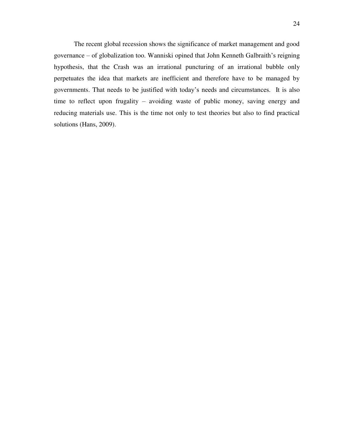The recent global recession shows the significance of market management and good governance – of globalization too. Wanniski opined that John Kenneth Galbraith"s reigning hypothesis, that the Crash was an irrational puncturing of an irrational bubble only perpetuates the idea that markets are inefficient and therefore have to be managed by governments. That needs to be justified with today"s needs and circumstances. It is also time to reflect upon frugality – avoiding waste of public money, saving energy and reducing materials use. This is the time not only to test theories but also to find practical solutions (Hans, 2009).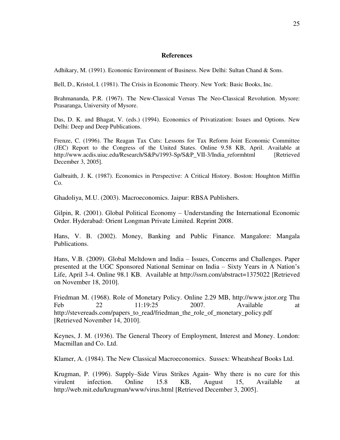#### **References**

Adhikary, M. (1991). Economic Environment of Business. New Delhi: Sultan Chand & Sons.

Bell, D., Kristol, I. (1981). The Crisis in Economic Theory. New York: Basic Books, Inc.

Brahmananda, P.R. (1967). The New-Classical Versus The Neo-Classical Revolution. Mysore: Prasaranga, University of Mysore.

Das, D. K. and Bhagat, V. (eds.) (1994). Economics of Privatization: Issues and Options. New Delhi: Deep and Deep Publications.

Frenze, C. (1996). The Reagan Tax Cuts: Lessons for Tax Reform Joint Economic Committee (JEC) Report to the Congress of the United States. Online 9.58 KB, April. Available at http://www.acdis.uiuc.edu/Research/S&Ps/1993-Sp/S&P\_VII-3/India\_reformhtml [Retrieved December 3, 2005].

Galbraith, J. K. (1987). Economics in Perspective: A Critical History. Boston: Houghton Mifflin Co.

Ghadoliya, M.U. (2003). Macroeconomics. Jaipur: RBSA Publishers.

Gilpin, R. (2001). Global Political Economy – Understanding the International Economic Order. Hyderabad: Orient Longman Private Limited. Reprint 2008.

Hans, V. B. (2002). Money, Banking and Public Finance. Mangalore: Mangala Publications.

Hans, V.B. (2009). Global Meltdown and India – Issues, Concerns and Challenges. Paper presented at the UGC Sponsored National Seminar on India – Sixty Years in A Nation"s Life, April 3-4. Online 98.1 KB. Available at<http://ssrn.com/abstract=1375022>[Retrieved on November 18, 2010].

Friedman M. (1968). Role of Monetary Policy. Online 2.29 MB, [http://www.jstor.org](http://www.jstor.org/) Thu Feb 22 11:19:25 2007. Available at [http://stevereads.com/papers\\_to\\_read/friedman\\_the\\_role\\_of\\_monetary\\_policy.pdf](http://stevereads.com/papers_to_read/friedman_the_role_of_monetary_policy.pdf)  [Retrieved November 14, 2010].

Keynes, J. M. (1936). The General Theory of Employment, Interest and Money. London: Macmillan and Co. Ltd.

Klamer, A. (1984). The New Classical Macroeconomics. Sussex: Wheatsheaf Books Ltd.

Krugman, P. (1996). Supply–Side Virus Strikes Again- Why there is no cure for this virulent infection. Online 15.8 KB, August 15, Available at <http://web.mit.edu/krugman/www/virus.html>[Retrieved December 3, 2005].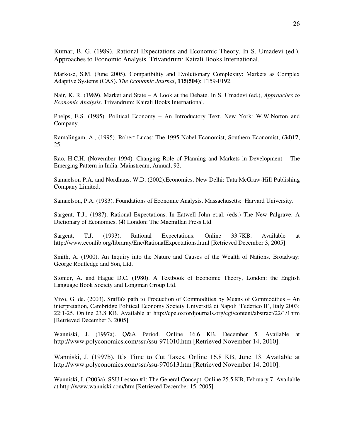Kumar, B. G. (1989). Rational Expectations and Economic Theory. In S. Umadevi (ed.), Approaches to Economic Analysis. Trivandrum: Kairali Books International.

Markose, S.M. (June 2005). Compatibility and Evolutionary Complexity: Markets as Complex Adaptive Systems (CAS). *The Economic Journal*, **115(504)**: F159-F192.

Nair, K. R. (1989). Market and State – A Look at the Debate. In S. Umadevi (ed.), *Approaches to Economic Analysis*. Trivandrum: Kairali Books International.

Phelps, E.S. (1985). Political Economy – An Introductory Text. New York: W.W.Norton and Company.

Ramalingam, A., (1995). Robert Lucas: The 1995 Nobel Economist, Southern Economist, **(34)17**, 25.

Rao, H.C.H. (November 1994). Changing Role of Planning and Markets in Development – The Emerging Pattern in India. Mainstream, Annual, 92.

Samuelson P.A. and Nordhaus, W.D. (2002).Economics. New Delhi: Tata McGraw-Hill Publishing Company Limited.

Samuelson, P.A. (1983). Foundations of Economic Analysis. Massachusetts: Harvard University.

Sargent, T.J., (1987). Rational Expectations. In Eatwell John et.al. (eds.) The New Palgrave: A Dictionary of Economics, **(4)** London: The Macmillan Press Ltd.

Sargent, T.J. (1993). Rational Expectations. Online 33.7KB. Available at <http://www.econlib.org/libraray/Enc/RationalExpectations.html>[Retrieved December 3, 2005].

Smith, A. (1900). An Inquiry into the Nature and Causes of the Wealth of Nations. Broadway: George Routledge and Son, Ltd.

Stonier, A. and Hague D.C. (1980). A Textbook of Economic Theory, London: the English Language Book Society and Longman Group Ltd.

Vivo, G. de. (2003). Sraffa's path to Production of Commodities by Means of Commodities – An interpretation, [Cambridge Political Economy Society](http://cpe.oxfordjournals.org/misc/terms.shtml) Università di Napoli "Federico II", Italy 2003; 22:1-25. Online 23.8 KB. Available at http://cpe.oxfordjournals.org/cgi/content/abstract/22/1/1htm [Retrieved December 3, 2005].

Wanniski, J. (1997a). Q&A Period. Online 16.6 KB, December 5. Available at <http://www.polyconomics.com/ssu/ssu-971010.htm>[Retrieved November 14, 2010].

Wanniski, J. (1997b). It's Time to Cut Taxes. Online 16.8 KB, June 13. Available at <http://www.polyconomics.com/ssu/ssu-970613.htm>[Retrieved November 14, 2010].

Wanniski, J. (2003a). SSU Lesson #1: The General Concept. Online 25.5 KB, February 7. Available at [http://www.wanniski.com/h](http://www.wanniski.com/showarticle.asp?article=296)tm [Retrieved December 15, 2005].